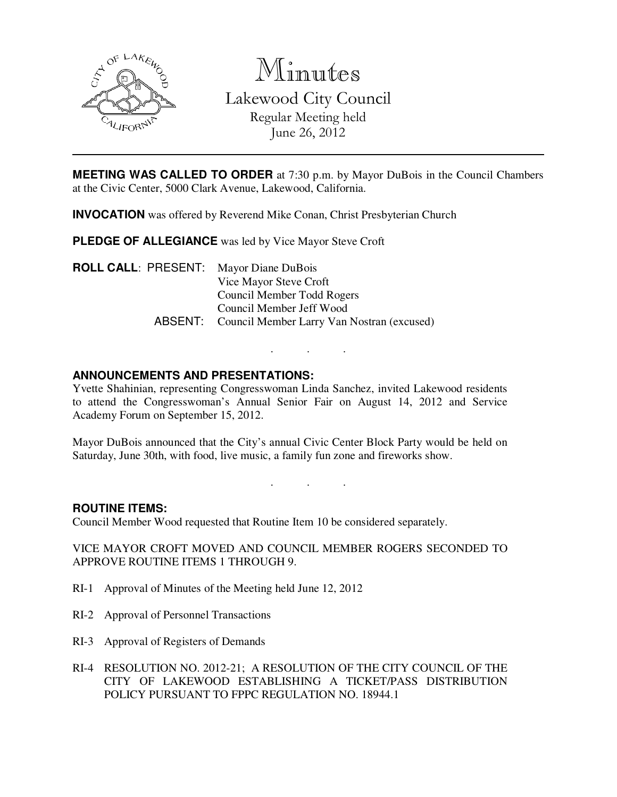

Minutes

Lakewood City Council Regular Meeting held June 26, 2012

**MEETING WAS CALLED TO ORDER** at 7:30 p.m. by Mayor DuBois in the Council Chambers at the Civic Center, 5000 Clark Avenue, Lakewood, California.

**INVOCATION** was offered by Reverend Mike Conan, Christ Presbyterian Church

**PLEDGE OF ALLEGIANCE** was led by Vice Mayor Steve Croft

**ROLL CALL**: PRESENT: Mayor Diane DuBois Vice Mayor Steve Croft Council Member Todd Rogers Council Member Jeff Wood ABSENT: Council Member Larry Van Nostran (excused)

# **ANNOUNCEMENTS AND PRESENTATIONS:**

Yvette Shahinian, representing Congresswoman Linda Sanchez, invited Lakewood residents to attend the Congresswoman's Annual Senior Fair on August 14, 2012 and Service Academy Forum on September 15, 2012.

. . .

Mayor DuBois announced that the City's annual Civic Center Block Party would be held on Saturday, June 30th, with food, live music, a family fun zone and fireworks show.

. . .

# **ROUTINE ITEMS:**

Council Member Wood requested that Routine Item 10 be considered separately.

VICE MAYOR CROFT MOVED AND COUNCIL MEMBER ROGERS SECONDED TO APPROVE ROUTINE ITEMS 1 THROUGH 9.

- RI-1 Approval of Minutes of the Meeting held June 12, 2012
- RI-2 Approval of Personnel Transactions
- RI-3 Approval of Registers of Demands
- RI-4 RESOLUTION NO. 2012-21; A RESOLUTION OF THE CITY COUNCIL OF THE CITY OF LAKEWOOD ESTABLISHING A TICKET/PASS DISTRIBUTION POLICY PURSUANT TO FPPC REGULATION NO. 18944.1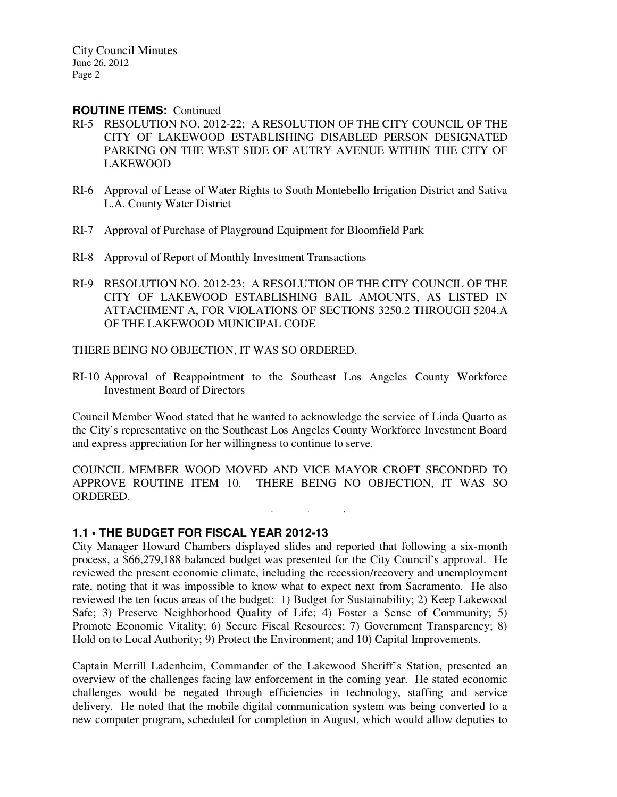#### **ROUTINE ITEMS:** Continued

- RI-5 RESOLUTION NO. 2012-22; A RESOLUTION OF THE CITY COUNCIL OF THE CITY OF LAKEWOOD ESTABLISHING DISABLED PERSON DESIGNATED PARKING ON THE WEST SIDE OF AUTRY AVENUE WITHIN THE CITY OF LAKEWOOD
- RI-6 Approval of Lease of Water Rights to South Montebello Irrigation District and Sativa L.A. County Water District
- RI-7 Approval of Purchase of Playground Equipment for Bloomfield Park
- RI-8 Approval of Report of Monthly Investment Transactions
- RI-9 RESOLUTION NO. 2012-23; A RESOLUTION OF THE CITY COUNCIL OF THE CITY OF LAKEWOOD ESTABLISHING BAIL AMOUNTS, AS LISTED IN ATTACHMENT A, FOR VIOLATIONS OF SECTIONS 3250.2 THROUGH 5204.A OF THE LAKEWOOD MUNICIPAL CODE

THERE BEING NO OBJECTION, IT WAS SO ORDERED.

RI-10 Approval of Reappointment to the Southeast Los Angeles County Workforce Investment Board of Directors

Council Member Wood stated that he wanted to acknowledge the service of Linda Quarto as the City's representative on the Southeast Los Angeles County Workforce Investment Board and express appreciation for her willingness to continue to serve.

COUNCIL MEMBER WOOD MOVED AND VICE MAYOR CROFT SECONDED TO APPROVE ROUTINE ITEM 10. THERE BEING NO OBJECTION, IT WAS SO ORDERED.

. . .

# **1.1 • THE BUDGET FOR FISCAL YEAR 2012-13**

City Manager Howard Chambers displayed slides and reported that following a six-month process, a \$66,279,188 balanced budget was presented for the City Council's approval. He reviewed the present economic climate, including the recession/recovery and unemployment rate, noting that it was impossible to know what to expect next from Sacramento. He also reviewed the ten focus areas of the budget: 1) Budget for Sustainability; 2) Keep Lakewood Safe; 3) Preserve Neighborhood Quality of Life; 4) Foster a Sense of Community; 5) Promote Economic Vitality; 6) Secure Fiscal Resources; 7) Government Transparency; 8) Hold on to Local Authority; 9) Protect the Environment; and 10) Capital Improvements.

Captain Merrill Ladenheim, Commander of the Lakewood Sheriff's Station, presented an overview of the challenges facing law enforcement in the coming year. He stated economic challenges would be negated through efficiencies in technology, staffing and service delivery. He noted that the mobile digital communication system was being converted to a new computer program, scheduled for completion in August, which would allow deputies to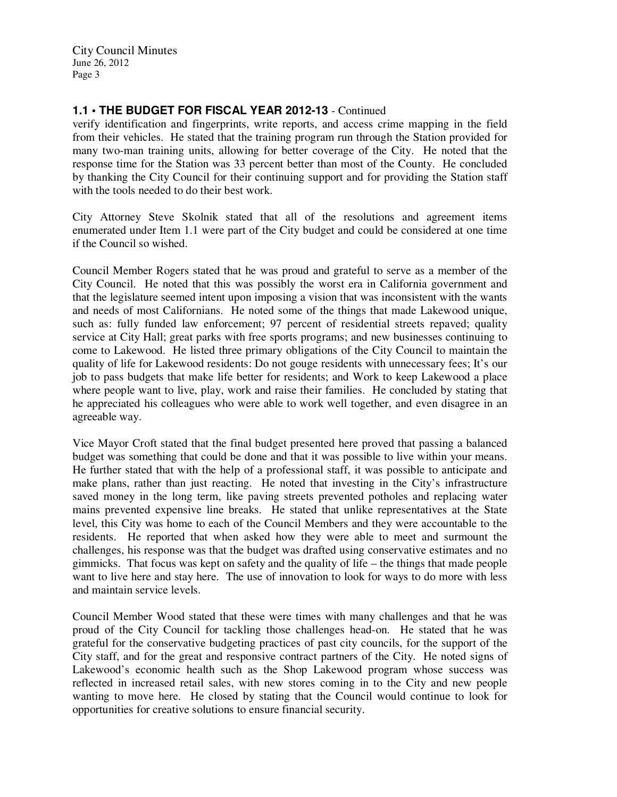# **1.1 • THE BUDGET FOR FISCAL YEAR 2012-13** - Continued

verify identification and fingerprints, write reports, and access crime mapping in the field from their vehicles. He stated that the training program run through the Station provided for many two-man training units, allowing for better coverage of the City. He noted that the response time for the Station was 33 percent better than most of the County. He concluded by thanking the City Council for their continuing support and for providing the Station staff with the tools needed to do their best work.

City Attorney Steve Skolnik stated that all of the resolutions and agreement items enumerated under Item 1.1 were part of the City budget and could be considered at one time if the Council so wished.

Council Member Rogers stated that he was proud and grateful to serve as a member of the City Council. He noted that this was possibly the worst era in California government and that the legislature seemed intent upon imposing a vision that was inconsistent with the wants and needs of most Californians. He noted some of the things that made Lakewood unique, such as: fully funded law enforcement; 97 percent of residential streets repaved; quality service at City Hall; great parks with free sports programs; and new businesses continuing to come to Lakewood. He listed three primary obligations of the City Council to maintain the quality of life for Lakewood residents: Do not gouge residents with unnecessary fees; It's our job to pass budgets that make life better for residents; and Work to keep Lakewood a place where people want to live, play, work and raise their families. He concluded by stating that he appreciated his colleagues who were able to work well together, and even disagree in an agreeable way.

Vice Mayor Croft stated that the final budget presented here proved that passing a balanced budget was something that could be done and that it was possible to live within your means. He further stated that with the help of a professional staff, it was possible to anticipate and make plans, rather than just reacting. He noted that investing in the City's infrastructure saved money in the long term, like paving streets prevented potholes and replacing water mains prevented expensive line breaks. He stated that unlike representatives at the State level, this City was home to each of the Council Members and they were accountable to the residents. He reported that when asked how they were able to meet and surmount the challenges, his response was that the budget was drafted using conservative estimates and no gimmicks. That focus was kept on safety and the quality of life – the things that made people want to live here and stay here. The use of innovation to look for ways to do more with less and maintain service levels.

Council Member Wood stated that these were times with many challenges and that he was proud of the City Council for tackling those challenges head-on. He stated that he was grateful for the conservative budgeting practices of past city councils, for the support of the City staff, and for the great and responsive contract partners of the City. He noted signs of Lakewood's economic health such as the Shop Lakewood program whose success was reflected in increased retail sales, with new stores coming in to the City and new people wanting to move here. He closed by stating that the Council would continue to look for opportunities for creative solutions to ensure financial security.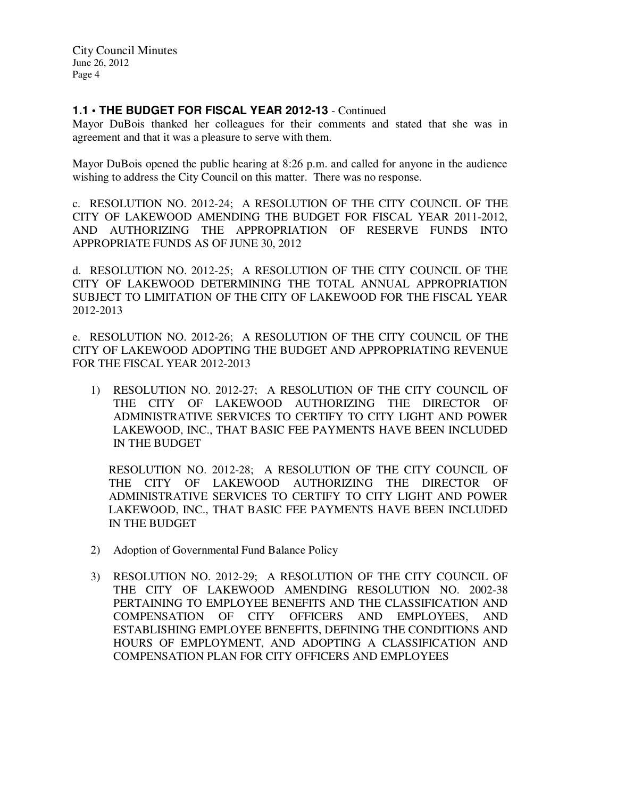# **1.1 • THE BUDGET FOR FISCAL YEAR 2012-13** - Continued

Mayor DuBois thanked her colleagues for their comments and stated that she was in agreement and that it was a pleasure to serve with them.

Mayor DuBois opened the public hearing at 8:26 p.m. and called for anyone in the audience wishing to address the City Council on this matter. There was no response.

c. RESOLUTION NO. 2012-24; A RESOLUTION OF THE CITY COUNCIL OF THE CITY OF LAKEWOOD AMENDING THE BUDGET FOR FISCAL YEAR 2011-2012, AND AUTHORIZING THE APPROPRIATION OF RESERVE FUNDS INTO APPROPRIATE FUNDS AS OF JUNE 30, 2012

d. RESOLUTION NO. 2012-25; A RESOLUTION OF THE CITY COUNCIL OF THE CITY OF LAKEWOOD DETERMINING THE TOTAL ANNUAL APPROPRIATION SUBJECT TO LIMITATION OF THE CITY OF LAKEWOOD FOR THE FISCAL YEAR 2012-2013

e. RESOLUTION NO. 2012-26; A RESOLUTION OF THE CITY COUNCIL OF THE CITY OF LAKEWOOD ADOPTING THE BUDGET AND APPROPRIATING REVENUE FOR THE FISCAL YEAR 2012-2013

1) RESOLUTION NO. 2012-27; A RESOLUTION OF THE CITY COUNCIL OF THE CITY OF LAKEWOOD AUTHORIZING THE DIRECTOR OF ADMINISTRATIVE SERVICES TO CERTIFY TO CITY LIGHT AND POWER LAKEWOOD, INC., THAT BASIC FEE PAYMENTS HAVE BEEN INCLUDED IN THE BUDGET

RESOLUTION NO. 2012-28; A RESOLUTION OF THE CITY COUNCIL OF THE CITY OF LAKEWOOD AUTHORIZING THE DIRECTOR OF ADMINISTRATIVE SERVICES TO CERTIFY TO CITY LIGHT AND POWER LAKEWOOD, INC., THAT BASIC FEE PAYMENTS HAVE BEEN INCLUDED IN THE BUDGET

- 2) Adoption of Governmental Fund Balance Policy
- 3) RESOLUTION NO. 2012-29; A RESOLUTION OF THE CITY COUNCIL OF THE CITY OF LAKEWOOD AMENDING RESOLUTION NO. 2002-38 PERTAINING TO EMPLOYEE BENEFITS AND THE CLASSIFICATION AND COMPENSATION OF CITY OFFICERS AND EMPLOYEES, AND ESTABLISHING EMPLOYEE BENEFITS, DEFINING THE CONDITIONS AND HOURS OF EMPLOYMENT, AND ADOPTING A CLASSIFICATION AND COMPENSATION PLAN FOR CITY OFFICERS AND EMPLOYEES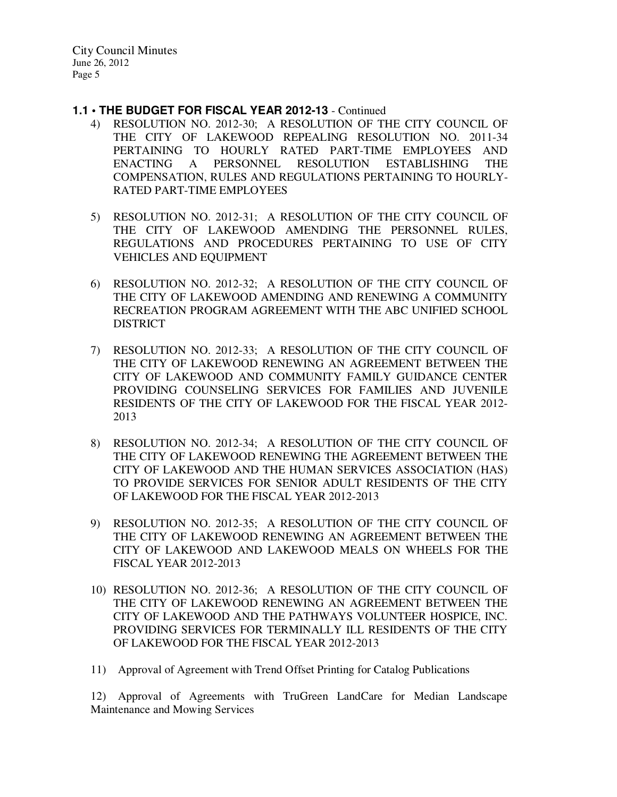- **1.1 THE BUDGET FOR FISCAL YEAR 2012-13**  Continued
	- 4) RESOLUTION NO. 2012-30; A RESOLUTION OF THE CITY COUNCIL OF THE CITY OF LAKEWOOD REPEALING RESOLUTION NO. 2011-34 PERTAINING TO HOURLY RATED PART-TIME EMPLOYEES AND ENACTING A PERSONNEL RESOLUTION ESTABLISHING THE COMPENSATION, RULES AND REGULATIONS PERTAINING TO HOURLY-RATED PART-TIME EMPLOYEES
	- 5) RESOLUTION NO. 2012-31; A RESOLUTION OF THE CITY COUNCIL OF THE CITY OF LAKEWOOD AMENDING THE PERSONNEL RULES, REGULATIONS AND PROCEDURES PERTAINING TO USE OF CITY VEHICLES AND EQUIPMENT
	- 6) RESOLUTION NO. 2012-32; A RESOLUTION OF THE CITY COUNCIL OF THE CITY OF LAKEWOOD AMENDING AND RENEWING A COMMUNITY RECREATION PROGRAM AGREEMENT WITH THE ABC UNIFIED SCHOOL DISTRICT
	- 7) RESOLUTION NO. 2012-33; A RESOLUTION OF THE CITY COUNCIL OF THE CITY OF LAKEWOOD RENEWING AN AGREEMENT BETWEEN THE CITY OF LAKEWOOD AND COMMUNITY FAMILY GUIDANCE CENTER PROVIDING COUNSELING SERVICES FOR FAMILIES AND JUVENILE RESIDENTS OF THE CITY OF LAKEWOOD FOR THE FISCAL YEAR 2012- 2013
	- 8) RESOLUTION NO. 2012-34; A RESOLUTION OF THE CITY COUNCIL OF THE CITY OF LAKEWOOD RENEWING THE AGREEMENT BETWEEN THE CITY OF LAKEWOOD AND THE HUMAN SERVICES ASSOCIATION (HAS) TO PROVIDE SERVICES FOR SENIOR ADULT RESIDENTS OF THE CITY OF LAKEWOOD FOR THE FISCAL YEAR 2012-2013
	- 9) RESOLUTION NO. 2012-35; A RESOLUTION OF THE CITY COUNCIL OF THE CITY OF LAKEWOOD RENEWING AN AGREEMENT BETWEEN THE CITY OF LAKEWOOD AND LAKEWOOD MEALS ON WHEELS FOR THE FISCAL YEAR 2012-2013
	- 10) RESOLUTION NO. 2012-36; A RESOLUTION OF THE CITY COUNCIL OF THE CITY OF LAKEWOOD RENEWING AN AGREEMENT BETWEEN THE CITY OF LAKEWOOD AND THE PATHWAYS VOLUNTEER HOSPICE, INC. PROVIDING SERVICES FOR TERMINALLY ILL RESIDENTS OF THE CITY OF LAKEWOOD FOR THE FISCAL YEAR 2012-2013
	- 11) Approval of Agreement with Trend Offset Printing for Catalog Publications

12) Approval of Agreements with TruGreen LandCare for Median Landscape Maintenance and Mowing Services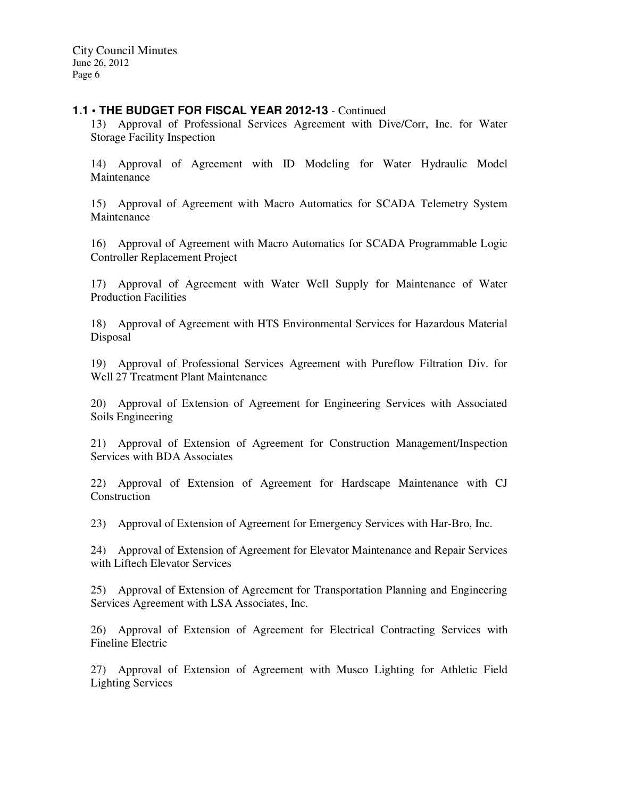### **1.1 • THE BUDGET FOR FISCAL YEAR 2012-13** - Continued

13) Approval of Professional Services Agreement with Dive/Corr, Inc. for Water Storage Facility Inspection

14) Approval of Agreement with ID Modeling for Water Hydraulic Model Maintenance

15) Approval of Agreement with Macro Automatics for SCADA Telemetry System Maintenance

16) Approval of Agreement with Macro Automatics for SCADA Programmable Logic Controller Replacement Project

17) Approval of Agreement with Water Well Supply for Maintenance of Water Production Facilities

18) Approval of Agreement with HTS Environmental Services for Hazardous Material Disposal

19) Approval of Professional Services Agreement with Pureflow Filtration Div. for Well 27 Treatment Plant Maintenance

20) Approval of Extension of Agreement for Engineering Services with Associated Soils Engineering

21) Approval of Extension of Agreement for Construction Management/Inspection Services with BDA Associates

22) Approval of Extension of Agreement for Hardscape Maintenance with CJ Construction

23) Approval of Extension of Agreement for Emergency Services with Har-Bro, Inc.

24) Approval of Extension of Agreement for Elevator Maintenance and Repair Services with Liftech Elevator Services

25) Approval of Extension of Agreement for Transportation Planning and Engineering Services Agreement with LSA Associates, Inc.

26) Approval of Extension of Agreement for Electrical Contracting Services with Fineline Electric

27) Approval of Extension of Agreement with Musco Lighting for Athletic Field Lighting Services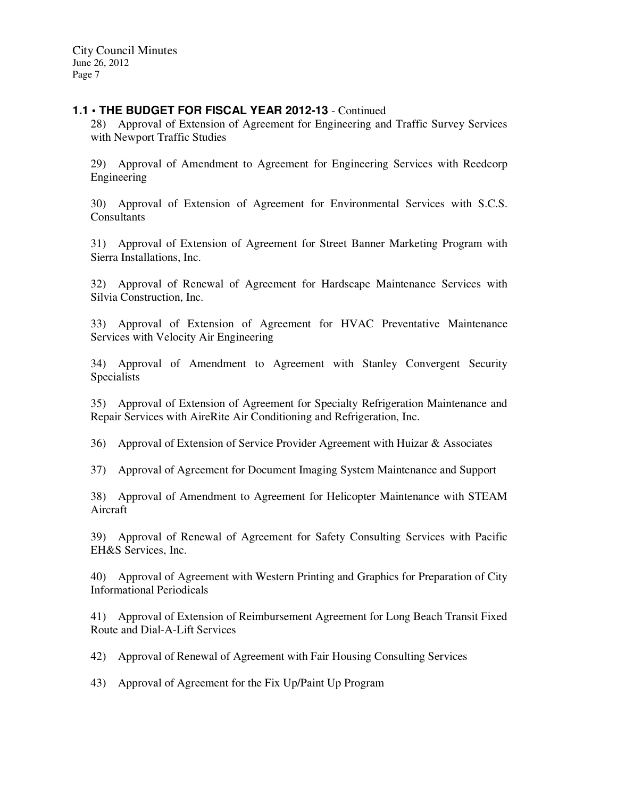### **1.1 • THE BUDGET FOR FISCAL YEAR 2012-13** - Continued

28) Approval of Extension of Agreement for Engineering and Traffic Survey Services with Newport Traffic Studies

29) Approval of Amendment to Agreement for Engineering Services with Reedcorp Engineering

30) Approval of Extension of Agreement for Environmental Services with S.C.S. **Consultants** 

31) Approval of Extension of Agreement for Street Banner Marketing Program with Sierra Installations, Inc.

32) Approval of Renewal of Agreement for Hardscape Maintenance Services with Silvia Construction, Inc.

33) Approval of Extension of Agreement for HVAC Preventative Maintenance Services with Velocity Air Engineering

34) Approval of Amendment to Agreement with Stanley Convergent Security Specialists

35) Approval of Extension of Agreement for Specialty Refrigeration Maintenance and Repair Services with AireRite Air Conditioning and Refrigeration, Inc.

36) Approval of Extension of Service Provider Agreement with Huizar & Associates

37) Approval of Agreement for Document Imaging System Maintenance and Support

38) Approval of Amendment to Agreement for Helicopter Maintenance with STEAM Aircraft

39) Approval of Renewal of Agreement for Safety Consulting Services with Pacific EH&S Services, Inc.

40) Approval of Agreement with Western Printing and Graphics for Preparation of City Informational Periodicals

41) Approval of Extension of Reimbursement Agreement for Long Beach Transit Fixed Route and Dial-A-Lift Services

42) Approval of Renewal of Agreement with Fair Housing Consulting Services

43) Approval of Agreement for the Fix Up/Paint Up Program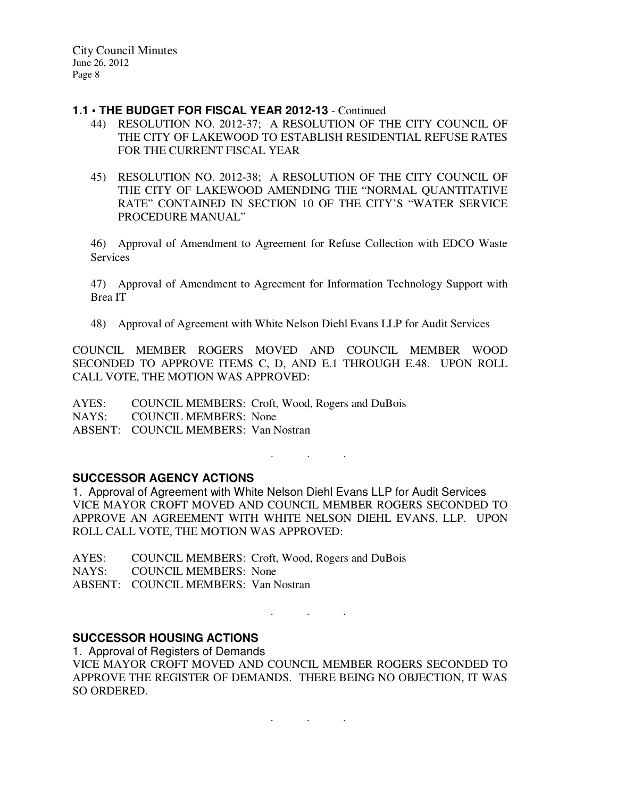#### **1.1 • THE BUDGET FOR FISCAL YEAR 2012-13** - Continued

- 44) RESOLUTION NO. 2012-37; A RESOLUTION OF THE CITY COUNCIL OF THE CITY OF LAKEWOOD TO ESTABLISH RESIDENTIAL REFUSE RATES FOR THE CURRENT FISCAL YEAR
- 45) RESOLUTION NO. 2012-38; A RESOLUTION OF THE CITY COUNCIL OF THE CITY OF LAKEWOOD AMENDING THE "NORMAL QUANTITATIVE RATE" CONTAINED IN SECTION 10 OF THE CITY'S "WATER SERVICE PROCEDURE MANUAL"

46) Approval of Amendment to Agreement for Refuse Collection with EDCO Waste Services

47) Approval of Amendment to Agreement for Information Technology Support with Brea IT

48) Approval of Agreement with White Nelson Diehl Evans LLP for Audit Services

COUNCIL MEMBER ROGERS MOVED AND COUNCIL MEMBER WOOD SECONDED TO APPROVE ITEMS C, D, AND E.1 THROUGH E.48. UPON ROLL CALL VOTE, THE MOTION WAS APPROVED:

AYES: COUNCIL MEMBERS: Croft, Wood, Rogers and DuBois NAYS: COUNCIL MEMBERS: None ABSENT: COUNCIL MEMBERS: Van Nostran

# **SUCCESSOR AGENCY ACTIONS**

1. Approval of Agreement with White Nelson Diehl Evans LLP for Audit Services VICE MAYOR CROFT MOVED AND COUNCIL MEMBER ROGERS SECONDED TO APPROVE AN AGREEMENT WITH WHITE NELSON DIEHL EVANS, LLP. UPON ROLL CALL VOTE, THE MOTION WAS APPROVED:

 $\mathbf{r}$  .  $\mathbf{r}$  ,  $\mathbf{r}$  ,  $\mathbf{r}$  ,  $\mathbf{r}$  ,  $\mathbf{r}$  ,  $\mathbf{r}$  ,  $\mathbf{r}$ 

AYES: COUNCIL MEMBERS: Croft, Wood, Rogers and DuBois NAYS: COUNCIL MEMBERS: None ABSENT: COUNCIL MEMBERS: Van Nostran

# **SUCCESSOR HOUSING ACTIONS**

1. Approval of Registers of Demands VICE MAYOR CROFT MOVED AND COUNCIL MEMBER ROGERS SECONDED TO APPROVE THE REGISTER OF DEMANDS. THERE BEING NO OBJECTION, IT WAS SO ORDERED.

. . .

. The set of the set of the  $\mathcal{O}_\mathcal{A}$